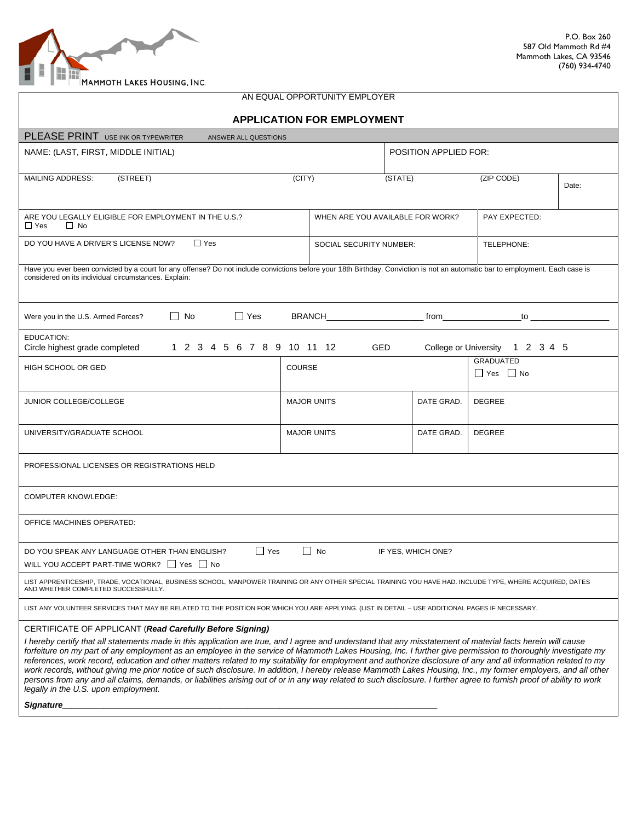

| AN EQUAL OPPORTUNITY EMPLOYER                                                                                                                                                                                                                                                                                                                                                                                                                                                                                                                                                                                                                                                                                                                                                                                                                                                                                                                 |               |                            |                         |                                  |                                                                                                                                                                                                                                |                                                                                                                                                                                                                                |
|-----------------------------------------------------------------------------------------------------------------------------------------------------------------------------------------------------------------------------------------------------------------------------------------------------------------------------------------------------------------------------------------------------------------------------------------------------------------------------------------------------------------------------------------------------------------------------------------------------------------------------------------------------------------------------------------------------------------------------------------------------------------------------------------------------------------------------------------------------------------------------------------------------------------------------------------------|---------------|----------------------------|-------------------------|----------------------------------|--------------------------------------------------------------------------------------------------------------------------------------------------------------------------------------------------------------------------------|--------------------------------------------------------------------------------------------------------------------------------------------------------------------------------------------------------------------------------|
| <b>APPLICATION FOR EMPLOYMENT</b>                                                                                                                                                                                                                                                                                                                                                                                                                                                                                                                                                                                                                                                                                                                                                                                                                                                                                                             |               |                            |                         |                                  |                                                                                                                                                                                                                                |                                                                                                                                                                                                                                |
| PLEASE PRINT USE INK OR TYPEWRITER<br>ANSWER ALL QUESTIONS                                                                                                                                                                                                                                                                                                                                                                                                                                                                                                                                                                                                                                                                                                                                                                                                                                                                                    |               |                            |                         |                                  |                                                                                                                                                                                                                                |                                                                                                                                                                                                                                |
| NAME: (LAST, FIRST, MIDDLE INITIAL)                                                                                                                                                                                                                                                                                                                                                                                                                                                                                                                                                                                                                                                                                                                                                                                                                                                                                                           |               |                            |                         | <b>POSITION APPLIED FOR:</b>     |                                                                                                                                                                                                                                |                                                                                                                                                                                                                                |
| (STREET)<br><b>MAILING ADDRESS:</b>                                                                                                                                                                                                                                                                                                                                                                                                                                                                                                                                                                                                                                                                                                                                                                                                                                                                                                           | (CITY)        |                            | (STATE)                 |                                  | (ZIP CODE)                                                                                                                                                                                                                     | Date:                                                                                                                                                                                                                          |
| ARE YOU LEGALLY ELIGIBLE FOR EMPLOYMENT IN THE U.S.?<br>$\Box$ Yes<br>$\Box$ No                                                                                                                                                                                                                                                                                                                                                                                                                                                                                                                                                                                                                                                                                                                                                                                                                                                               |               |                            |                         | WHEN ARE YOU AVAILABLE FOR WORK? | PAY EXPECTED:                                                                                                                                                                                                                  |                                                                                                                                                                                                                                |
| DO YOU HAVE A DRIVER'S LICENSE NOW?<br>$\Box$ Yes                                                                                                                                                                                                                                                                                                                                                                                                                                                                                                                                                                                                                                                                                                                                                                                                                                                                                             |               |                            | SOCIAL SECURITY NUMBER: |                                  | TELEPHONE:                                                                                                                                                                                                                     |                                                                                                                                                                                                                                |
| Have you ever been convicted by a court for any offense? Do not include convictions before your 18th Birthday. Conviction is not an automatic bar to employment. Each case is<br>considered on its individual circumstances. Explain:                                                                                                                                                                                                                                                                                                                                                                                                                                                                                                                                                                                                                                                                                                         |               |                            |                         |                                  |                                                                                                                                                                                                                                |                                                                                                                                                                                                                                |
| $\Box$ Yes<br>$\Box$ No<br>Were you in the U.S. Armed Forces?                                                                                                                                                                                                                                                                                                                                                                                                                                                                                                                                                                                                                                                                                                                                                                                                                                                                                 |               | <b>BRANCH EXAMPLE 1999</b> |                         |                                  | from the contract of the contract of the contract of the contract of the contract of the contract of the contract of the contract of the contract of the contract of the contract of the contract of the contract of the contr | to the contract of the contract of the contract of the contract of the contract of the contract of the contract of the contract of the contract of the contract of the contract of the contract of the contract of the contrac |
| <b>EDUCATION:</b><br>1 2 3 4 5 6 7 8 9 10 11 12<br>Circle highest grade completed                                                                                                                                                                                                                                                                                                                                                                                                                                                                                                                                                                                                                                                                                                                                                                                                                                                             |               | <b>GED</b>                 |                         |                                  | College or University 1 2 3 4 5                                                                                                                                                                                                |                                                                                                                                                                                                                                |
| <b>HIGH SCHOOL OR GED</b>                                                                                                                                                                                                                                                                                                                                                                                                                                                                                                                                                                                                                                                                                                                                                                                                                                                                                                                     | <b>COURSE</b> |                            |                         |                                  | <b>GRADUATED</b><br>□ Yes □ No                                                                                                                                                                                                 |                                                                                                                                                                                                                                |
| JUNIOR COLLEGE/COLLEGE                                                                                                                                                                                                                                                                                                                                                                                                                                                                                                                                                                                                                                                                                                                                                                                                                                                                                                                        |               | <b>MAJOR UNITS</b>         |                         | DATE GRAD.                       | <b>DEGREE</b>                                                                                                                                                                                                                  |                                                                                                                                                                                                                                |
| UNIVERSITY/GRADUATE SCHOOL                                                                                                                                                                                                                                                                                                                                                                                                                                                                                                                                                                                                                                                                                                                                                                                                                                                                                                                    |               | <b>MAJOR UNITS</b>         |                         | DATE GRAD.                       | <b>DEGREE</b>                                                                                                                                                                                                                  |                                                                                                                                                                                                                                |
| PROFESSIONAL LICENSES OR REGISTRATIONS HELD                                                                                                                                                                                                                                                                                                                                                                                                                                                                                                                                                                                                                                                                                                                                                                                                                                                                                                   |               |                            |                         |                                  |                                                                                                                                                                                                                                |                                                                                                                                                                                                                                |
| <b>COMPUTER KNOWLEDGE:</b>                                                                                                                                                                                                                                                                                                                                                                                                                                                                                                                                                                                                                                                                                                                                                                                                                                                                                                                    |               |                            |                         |                                  |                                                                                                                                                                                                                                |                                                                                                                                                                                                                                |
| OFFICE MACHINES OPERATED:                                                                                                                                                                                                                                                                                                                                                                                                                                                                                                                                                                                                                                                                                                                                                                                                                                                                                                                     |               |                            |                         |                                  |                                                                                                                                                                                                                                |                                                                                                                                                                                                                                |
| $\Box$ No<br>$\Box$ Yes<br>DO YOU SPEAK ANY LANGUAGE OTHER THAN ENGLISH?<br>IF YES, WHICH ONE?<br>WILL YOU ACCEPT PART-TIME WORK? $\Box$ Yes $\Box$ No                                                                                                                                                                                                                                                                                                                                                                                                                                                                                                                                                                                                                                                                                                                                                                                        |               |                            |                         |                                  |                                                                                                                                                                                                                                |                                                                                                                                                                                                                                |
| LIST APPRENTICESHIP, TRADE, VOCATIONAL, BUSINESS SCHOOL, MANPOWER TRAINING OR ANY OTHER SPECIAL TRAINING YOU HAVE HAD. INCLUDE TYPE, WHERE ACQUIRED, DATES<br>AND WHETHER COMPLETED SUCCESSFULLY.                                                                                                                                                                                                                                                                                                                                                                                                                                                                                                                                                                                                                                                                                                                                             |               |                            |                         |                                  |                                                                                                                                                                                                                                |                                                                                                                                                                                                                                |
| LIST ANY VOLUNTEER SERVICES THAT MAY BE RELATED TO THE POSITION FOR WHICH YOU ARE APPLYING. (LIST IN DETAIL - USE ADDITIONAL PAGES IF NECESSARY.                                                                                                                                                                                                                                                                                                                                                                                                                                                                                                                                                                                                                                                                                                                                                                                              |               |                            |                         |                                  |                                                                                                                                                                                                                                |                                                                                                                                                                                                                                |
| CERTIFICATE OF APPLICANT (Read Carefully Before Signing)<br>I hereby certify that all statements made in this application are true, and I agree and understand that any misstatement of material facts herein will cause<br>forfeiture on my part of any employment as an employee in the service of Mammoth Lakes Housing, Inc. I further give permission to thoroughly investigate my<br>references, work record, education and other matters related to my suitability for employment and authorize disclosure of any and all information related to my<br>work records, without giving me prior notice of such disclosure. In addition, I hereby release Mammoth Lakes Housing, Inc., my former employers, and all other<br>persons from any and all claims, demands, or liabilities arising out of or in any way related to such disclosure. I further agree to furnish proof of ability to work<br>legally in the U.S. upon employment. |               |                            |                         |                                  |                                                                                                                                                                                                                                |                                                                                                                                                                                                                                |

 $Signature$